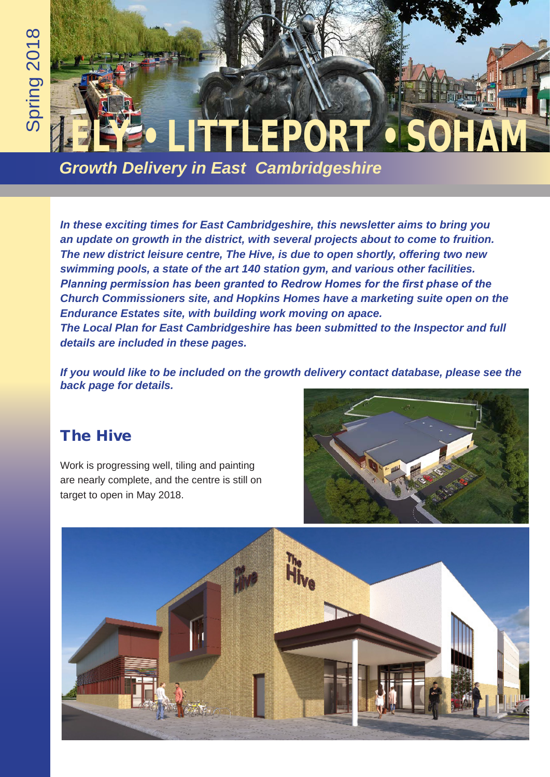## EPORT •

*Growth Delivery in East Cambridgeshire* 

*In these exciting times for East Cambridgeshire, this newsletter aims to bring you an update on growth in the district, with several projects about to come to fruition. The new district leisure centre, The Hive, is due to open shortly, offering two new swimming pools, a state of the art 140 station gym, and various other facilities. Planning permission has been granted to Redrow Homes for the first phase of the Church Commissioners site, and Hopkins Homes have a marketing suite open on the Endurance Estates site, with building work moving on apace. The Local Plan for East Cambridgeshire has been submitted to the Inspector and full details are included in these pages.*

*If you would like to be included on the growth delivery contact database, please see the back page for details.*

## The Hive

Work is progressing well, tiling and painting are nearly complete, and the centre is still on target to open in May 2018.